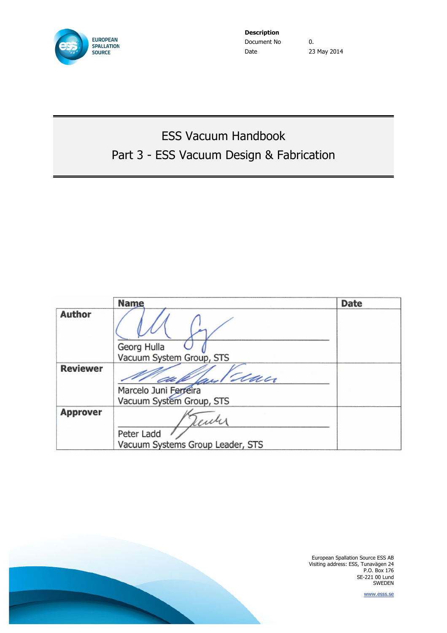

**Description** Document No  $\qquad \qquad 0.$ Date 23 May 2014

# ESS Vacuum Handbook Part 3 - ESS Vacuum Design & Fabrication

|                 | <b>Name</b>                      | <b>Date</b> |
|-----------------|----------------------------------|-------------|
| <b>Author</b>   |                                  |             |
|                 | Georg Hulla                      |             |
|                 | Vacuum System Group, STS         |             |
| <b>Reviewer</b> | dan                              |             |
|                 | Marcelo Juni Ferreira            |             |
|                 | Vacuum System Group, STS         |             |
| <b>Approver</b> |                                  |             |
|                 | Peter Ladd                       |             |
|                 | Vacuum Systems Group Leader, STS |             |

European Spallation Source ESS AB Visiting address: ESS, Tunavägen 24 P.O. Box 176 SE-221 00 Lund SWEDEN

www.esss.se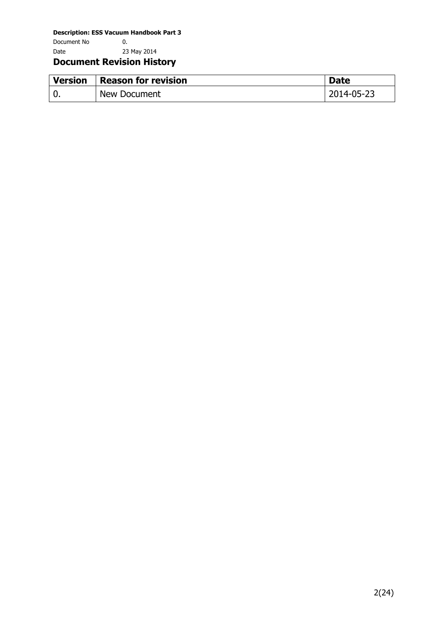Document No 0. Date 23 May 2014

#### **Document Revision History**

| <b>Version</b> | <b>Reason for revision</b> | <b>Date</b> |
|----------------|----------------------------|-------------|
|                | New Document               | 2014-05-23  |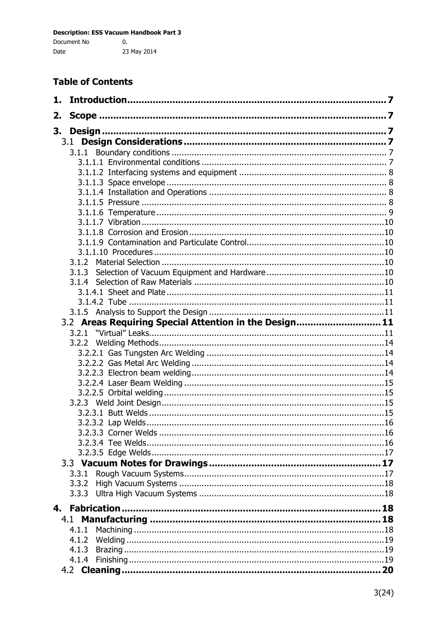#### **Table of Contents**

| 1. |                                                        |  |
|----|--------------------------------------------------------|--|
| 2. |                                                        |  |
| 3. |                                                        |  |
|    |                                                        |  |
|    |                                                        |  |
|    |                                                        |  |
|    |                                                        |  |
|    |                                                        |  |
|    |                                                        |  |
|    |                                                        |  |
|    |                                                        |  |
|    |                                                        |  |
|    |                                                        |  |
|    |                                                        |  |
|    | 3.1.2                                                  |  |
|    |                                                        |  |
|    |                                                        |  |
|    |                                                        |  |
|    |                                                        |  |
|    |                                                        |  |
|    | 3.2 Areas Requiring Special Attention in the Design 11 |  |
|    | 3.2.1                                                  |  |
|    |                                                        |  |
|    |                                                        |  |
|    |                                                        |  |
|    |                                                        |  |
|    |                                                        |  |
|    |                                                        |  |
|    |                                                        |  |
|    |                                                        |  |
|    |                                                        |  |
|    |                                                        |  |
|    |                                                        |  |
|    |                                                        |  |
|    | 3.3.1                                                  |  |
|    | 3.3.2                                                  |  |
|    |                                                        |  |
|    |                                                        |  |
|    |                                                        |  |
|    | 4.1.1                                                  |  |
|    | 4.1.2                                                  |  |
|    | 4.1.3                                                  |  |
|    | 4.1.4                                                  |  |
|    |                                                        |  |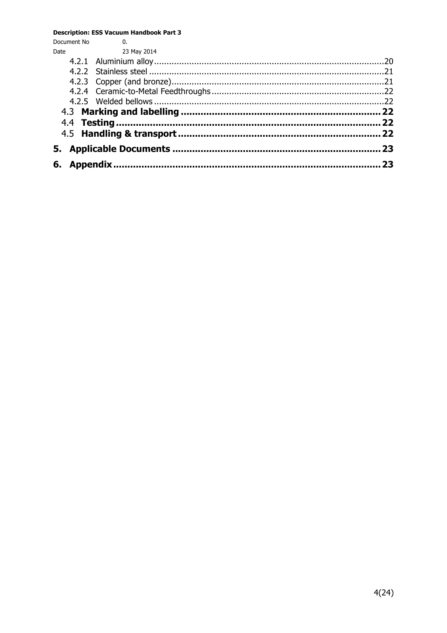| Document No | 0.          |    |  |
|-------------|-------------|----|--|
| Date        | 23 May 2014 |    |  |
|             |             |    |  |
|             |             |    |  |
|             |             |    |  |
|             |             |    |  |
|             |             |    |  |
|             |             |    |  |
|             |             |    |  |
|             |             |    |  |
|             |             | 23 |  |
| 6.          |             |    |  |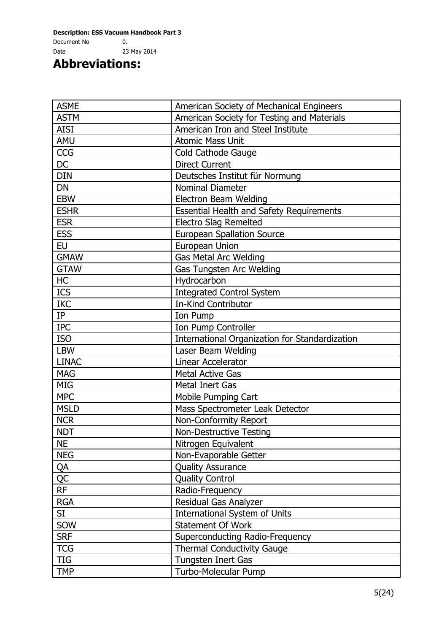Document No 0. Date 23 May 2014

**Abbreviations:**

| <b>ASME</b>  | American Society of Mechanical Engineers        |  |
|--------------|-------------------------------------------------|--|
| <b>ASTM</b>  | American Society for Testing and Materials      |  |
| <b>AISI</b>  | American Iron and Steel Institute               |  |
| <b>AMU</b>   | <b>Atomic Mass Unit</b>                         |  |
| <b>CCG</b>   | Cold Cathode Gauge                              |  |
| <b>DC</b>    | <b>Direct Current</b>                           |  |
| <b>DIN</b>   | Deutsches Institut für Normung                  |  |
| <b>DN</b>    | <b>Nominal Diameter</b>                         |  |
| <b>EBW</b>   | <b>Electron Beam Welding</b>                    |  |
| <b>ESHR</b>  | <b>Essential Health and Safety Requirements</b> |  |
| <b>ESR</b>   | <b>Electro Slag Remelted</b>                    |  |
| <b>ESS</b>   | <b>European Spallation Source</b>               |  |
| <b>EU</b>    | European Union                                  |  |
| <b>GMAW</b>  | Gas Metal Arc Welding                           |  |
| <b>GTAW</b>  | Gas Tungsten Arc Welding                        |  |
| HC           | Hydrocarbon                                     |  |
| <b>ICS</b>   | <b>Integrated Control System</b>                |  |
| <b>IKC</b>   | <b>In-Kind Contributor</b>                      |  |
| IP           | Ion Pump                                        |  |
| <b>IPC</b>   | Ion Pump Controller                             |  |
| <b>ISO</b>   | International Organization for Standardization  |  |
| <b>LBW</b>   | Laser Beam Welding                              |  |
| <b>LINAC</b> | Linear Accelerator                              |  |
| <b>MAG</b>   | <b>Metal Active Gas</b>                         |  |
| <b>MIG</b>   | <b>Metal Inert Gas</b>                          |  |
| <b>MPC</b>   | Mobile Pumping Cart                             |  |
| <b>MSLD</b>  | Mass Spectrometer Leak Detector                 |  |
| <b>NCR</b>   | Non-Conformity Report                           |  |
| <b>NDT</b>   | <b>Non-Destructive Testing</b>                  |  |
| <b>NE</b>    | Nitrogen Equivalent                             |  |
| <b>NEG</b>   | Non-Evaporable Getter                           |  |
| <u>QA</u>    | <b>Quality Assurance</b>                        |  |
| <b>QC</b>    | <b>Quality Control</b>                          |  |
| <b>RF</b>    | Radio-Frequency                                 |  |
| <b>RGA</b>   | Residual Gas Analyzer                           |  |
| SI           | International System of Units                   |  |
| SOW          | Statement Of Work                               |  |
| <b>SRF</b>   | Superconducting Radio-Frequency                 |  |
| <b>TCG</b>   | <b>Thermal Conductivity Gauge</b>               |  |
| <b>TIG</b>   | Tungsten Inert Gas                              |  |
| <b>TMP</b>   | Turbo-Molecular Pump                            |  |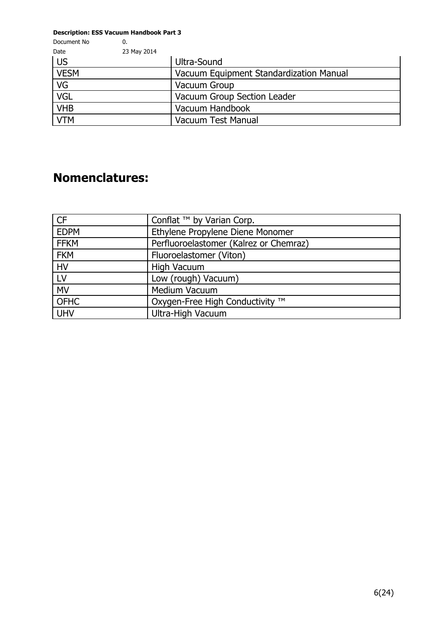| Document No             | 0.          |                                         |
|-------------------------|-------------|-----------------------------------------|
| Date                    | 23 May 2014 |                                         |
| <b>US</b>               |             | Ultra-Sound                             |
| <b>VESM</b>             |             | Vacuum Equipment Standardization Manual |
| VG                      |             | Vacuum Group                            |
| $\overline{\text{VGL}}$ |             | Vacuum Group Section Leader             |
| <b>VHB</b>              |             | Vacuum Handbook                         |
| <b>VTM</b>              |             | <b>Vacuum Test Manual</b>               |

## **Nomenclatures:**

| <b>CF</b>   | Conflat ™ by Varian Corp.              |
|-------------|----------------------------------------|
| <b>EDPM</b> | Ethylene Propylene Diene Monomer       |
| <b>FFKM</b> | Perfluoroelastomer (Kalrez or Chemraz) |
| <b>FKM</b>  | Fluoroelastomer (Viton)                |
| <b>HV</b>   | <b>High Vacuum</b>                     |
| LV          | Low (rough) Vacuum)                    |
| <b>MV</b>   | Medium Vacuum                          |
| <b>OFHC</b> | Oxygen-Free High Conductivity ™        |
| <b>UHV</b>  | Ultra-High Vacuum                      |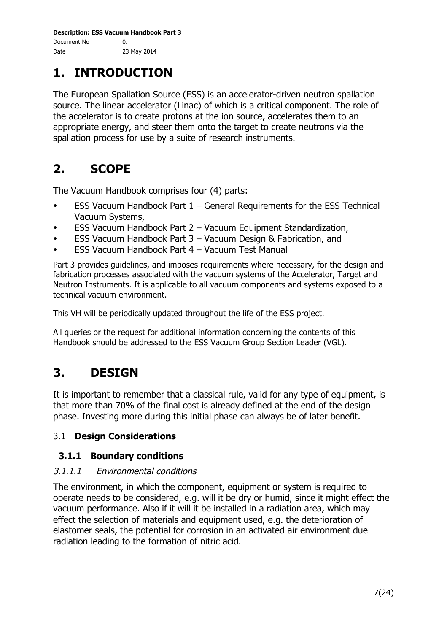## **1. INTRODUCTION**

The European Spallation Source (ESS) is an accelerator-driven neutron spallation source. The linear accelerator (Linac) of which is a critical component. The role of the accelerator is to create protons at the ion source, accelerates them to an appropriate energy, and steer them onto the target to create neutrons via the spallation process for use by a suite of research instruments.

# **2. SCOPE**

The Vacuum Handbook comprises four (4) parts:

- **ESS Vacuum Handbook Part 1 General Requirements for the ESS Technical** Vacuum Systems,
- ESS Vacuum Handbook Part 2 Vacuum Equipment Standardization,
- ESS Vacuum Handbook Part 3 Vacuum Design & Fabrication, and
- ESS Vacuum Handbook Part 4 Vacuum Test Manual

Part 3 provides guidelines, and imposes requirements where necessary, for the design and fabrication processes associated with the vacuum systems of the Accelerator, Target and Neutron Instruments. It is applicable to all vacuum components and systems exposed to a technical vacuum environment.

This VH will be periodically updated throughout the life of the ESS project.

All queries or the request for additional information concerning the contents of this Handbook should be addressed to the ESS Vacuum Group Section Leader (VGL).

# **3. DESIGN**

It is important to remember that a classical rule, valid for any type of equipment, is that more than 70% of the final cost is already defined at the end of the design phase. Investing more during this initial phase can always be of later benefit.

#### 3.1 **Design Considerations**

#### **3.1.1 Boundary conditions**

#### 3.1.1.1 Environmental conditions

The environment, in which the component, equipment or system is required to operate needs to be considered, e.g. will it be dry or humid, since it might effect the vacuum performance. Also if it will it be installed in a radiation area, which may effect the selection of materials and equipment used, e.g. the deterioration of elastomer seals, the potential for corrosion in an activated air environment due radiation leading to the formation of nitric acid.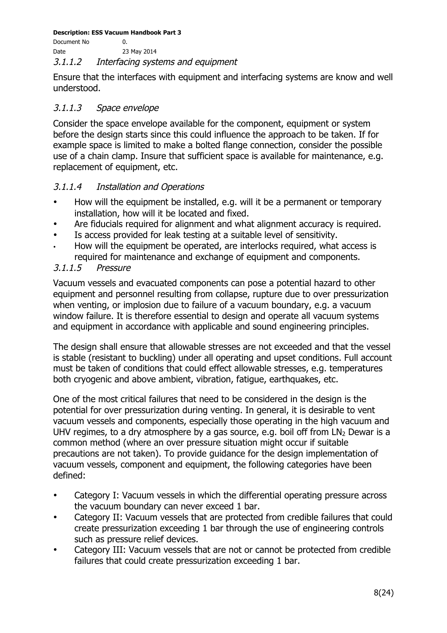Document No 0. Date 23 May 2014

#### 3.1.1.2 Interfacing systems and equipment

Ensure that the interfaces with equipment and interfacing systems are know and well understood.

#### 3.1.1.3 Space envelope

Consider the space envelope available for the component, equipment or system before the design starts since this could influence the approach to be taken. If for example space is limited to make a bolted flange connection, consider the possible use of a chain clamp. Insure that sufficient space is available for maintenance, e.g. replacement of equipment, etc.

#### 3.1.1.4 Installation and Operations

- How will the equipment be installed, e.g. will it be a permanent or temporary installation, how will it be located and fixed.
- Are fiducials required for alignment and what alignment accuracy is required.
- Is access provided for leak testing at a suitable level of sensitivity.
- How will the equipment be operated, are interlocks required, what access is required for maintenance and exchange of equipment and components.

#### 3.1.1.5 Pressure

Vacuum vessels and evacuated components can pose a potential hazard to other equipment and personnel resulting from collapse, rupture due to over pressurization when venting, or implosion due to failure of a vacuum boundary, e.g. a vacuum window failure. It is therefore essential to design and operate all vacuum systems and equipment in accordance with applicable and sound engineering principles.

The design shall ensure that allowable stresses are not exceeded and that the vessel is stable (resistant to buckling) under all operating and upset conditions. Full account must be taken of conditions that could effect allowable stresses, e.g. temperatures both cryogenic and above ambient, vibration, fatigue, earthquakes, etc.

One of the most critical failures that need to be considered in the design is the potential for over pressurization during venting. In general, it is desirable to vent vacuum vessels and components, especially those operating in the high vacuum and UHV regimes, to a dry atmosphere by a gas source, e.g. boil off from  $LN<sub>2</sub>$  Dewar is a common method (where an over pressure situation might occur if suitable precautions are not taken). To provide guidance for the design implementation of vacuum vessels, component and equipment, the following categories have been defined:

- Category I: Vacuum vessels in which the differential operating pressure across the vacuum boundary can never exceed 1 bar.
- Category II: Vacuum vessels that are protected from credible failures that could create pressurization exceeding 1 bar through the use of engineering controls such as pressure relief devices.
- Category III: Vacuum vessels that are not or cannot be protected from credible failures that could create pressurization exceeding 1 bar.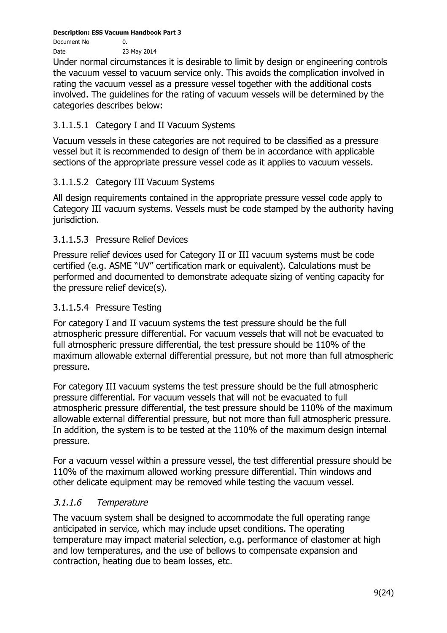Document No 0. Date 23 May 2014

Under normal circumstances it is desirable to limit by design or engineering controls the vacuum vessel to vacuum service only. This avoids the complication involved in rating the vacuum vessel as a pressure vessel together with the additional costs involved. The guidelines for the rating of vacuum vessels will be determined by the categories describes below:

#### 3.1.1.5.1 Category I and II Vacuum Systems

Vacuum vessels in these categories are not required to be classified as a pressure vessel but it is recommended to design of them be in accordance with applicable sections of the appropriate pressure vessel code as it applies to vacuum vessels.

#### 3.1.1.5.2 Category III Vacuum Systems

All design requirements contained in the appropriate pressure vessel code apply to Category III vacuum systems. Vessels must be code stamped by the authority having jurisdiction.

#### 3.1.1.5.3 Pressure Relief Devices

Pressure relief devices used for Category II or III vacuum systems must be code certified (e.g. ASME "UV" certification mark or equivalent). Calculations must be performed and documented to demonstrate adequate sizing of venting capacity for the pressure relief device(s).

#### 3.1.1.5.4 Pressure Testing

For category I and II vacuum systems the test pressure should be the full atmospheric pressure differential. For vacuum vessels that will not be evacuated to full atmospheric pressure differential, the test pressure should be 110% of the maximum allowable external differential pressure, but not more than full atmospheric pressure.

For category III vacuum systems the test pressure should be the full atmospheric pressure differential. For vacuum vessels that will not be evacuated to full atmospheric pressure differential, the test pressure should be 110% of the maximum allowable external differential pressure, but not more than full atmospheric pressure. In addition, the system is to be tested at the 110% of the maximum design internal pressure.

For a vacuum vessel within a pressure vessel, the test differential pressure should be 110% of the maximum allowed working pressure differential. Thin windows and other delicate equipment may be removed while testing the vacuum vessel.

#### 3.1.1.6 Temperature

The vacuum system shall be designed to accommodate the full operating range anticipated in service, which may include upset conditions. The operating temperature may impact material selection, e.g. performance of elastomer at high and low temperatures, and the use of bellows to compensate expansion and contraction, heating due to beam losses, etc.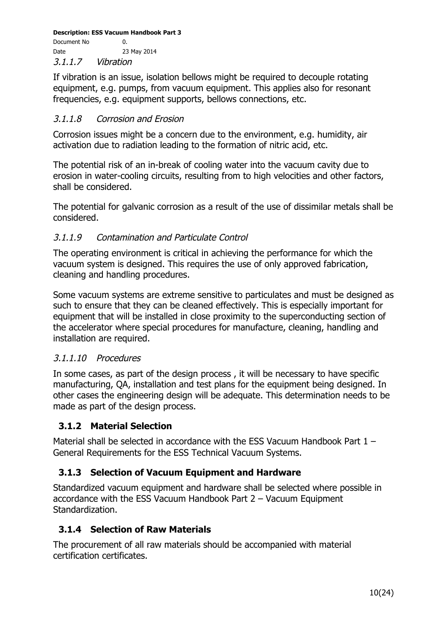Document No 0. Date 23 May 2014 3.1.1.7 Vibration

If vibration is an issue, isolation bellows might be required to decouple rotating equipment, e.g. pumps, from vacuum equipment. This applies also for resonant frequencies, e.g. equipment supports, bellows connections, etc.

#### 3.1.1.8 Corrosion and Erosion

Corrosion issues might be a concern due to the environment, e.g. humidity, air activation due to radiation leading to the formation of nitric acid, etc.

The potential risk of an in-break of cooling water into the vacuum cavity due to erosion in water-cooling circuits, resulting from to high velocities and other factors, shall be considered.

The potential for galvanic corrosion as a result of the use of dissimilar metals shall be considered.

#### 3.1.1.9 Contamination and Particulate Control

The operating environment is critical in achieving the performance for which the vacuum system is designed. This requires the use of only approved fabrication, cleaning and handling procedures.

Some vacuum systems are extreme sensitive to particulates and must be designed as such to ensure that they can be cleaned effectively. This is especially important for equipment that will be installed in close proximity to the superconducting section of the accelerator where special procedures for manufacture, cleaning, handling and installation are required.

#### 3.1.1.10 Procedures

In some cases, as part of the design process , it will be necessary to have specific manufacturing, QA, installation and test plans for the equipment being designed. In other cases the engineering design will be adequate. This determination needs to be made as part of the design process.

#### **3.1.2 Material Selection**

Material shall be selected in accordance with the ESS Vacuum Handbook Part  $1 -$ General Requirements for the ESS Technical Vacuum Systems.

#### **3.1.3 Selection of Vacuum Equipment and Hardware**

Standardized vacuum equipment and hardware shall be selected where possible in accordance with the ESS Vacuum Handbook Part 2 – Vacuum Equipment Standardization.

#### **3.1.4 Selection of Raw Materials**

The procurement of all raw materials should be accompanied with material certification certificates.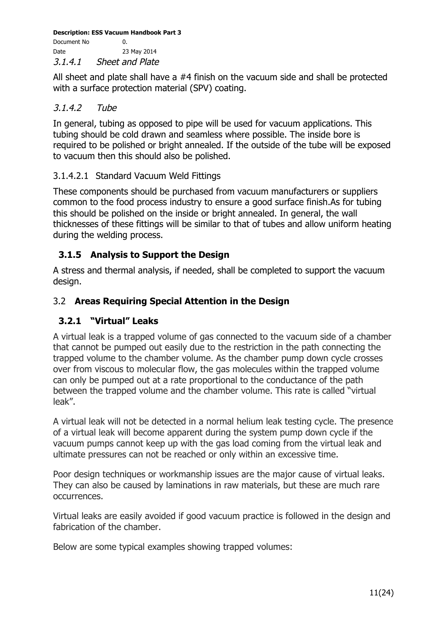**Description: ESS Vacuum Handbook Part 3** Document No 0. Date 23 May 2014

3.1.4.1 Sheet and Plate

All sheet and plate shall have a #4 finish on the vacuum side and shall be protected with a surface protection material (SPV) coating.

#### 3.1.4.2 Tube

In general, tubing as opposed to pipe will be used for vacuum applications. This tubing should be cold drawn and seamless where possible. The inside bore is required to be polished or bright annealed. If the outside of the tube will be exposed to vacuum then this should also be polished.

#### 3.1.4.2.1 Standard Vacuum Weld Fittings

These components should be purchased from vacuum manufacturers or suppliers common to the food process industry to ensure a good surface finish.As for tubing this should be polished on the inside or bright annealed. In general, the wall thicknesses of these fittings will be similar to that of tubes and allow uniform heating during the welding process.

#### **3.1.5 Analysis to Support the Design**

A stress and thermal analysis, if needed, shall be completed to support the vacuum design.

#### 3.2 **Areas Requiring Special Attention in the Design**

#### **3.2.1 "Virtual" Leaks**

A virtual leak is a trapped volume of gas connected to the vacuum side of a chamber that cannot be pumped out easily due to the restriction in the path connecting the trapped volume to the chamber volume. As the chamber pump down cycle crosses over from viscous to molecular flow, the gas molecules within the trapped volume can only be pumped out at a rate proportional to the conductance of the path between the trapped volume and the chamber volume. This rate is called "virtual leak".

A virtual leak will not be detected in a normal helium leak testing cycle. The presence of a virtual leak will become apparent during the system pump down cycle if the vacuum pumps cannot keep up with the gas load coming from the virtual leak and ultimate pressures can not be reached or only within an excessive time.

Poor design techniques or workmanship issues are the major cause of virtual leaks. They can also be caused by laminations in raw materials, but these are much rare occurrences.

Virtual leaks are easily avoided if good vacuum practice is followed in the design and fabrication of the chamber.

Below are some typical examples showing trapped volumes: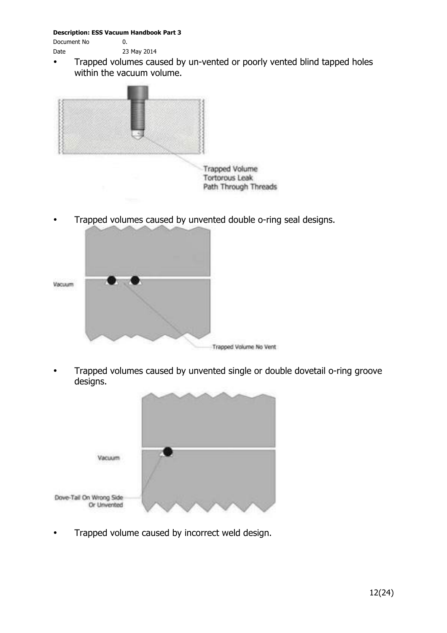Document No  $\qquad \qquad 0.$ Date 23 May 2014

- 
- Trapped volumes caused by un-vented or poorly vented blind tapped holes within the vacuum volume.



• Trapped volumes caused by unvented double o-ring seal designs.



• Trapped volumes caused by unvented single or double dovetail o-ring groove designs.



• Trapped volume caused by incorrect weld design.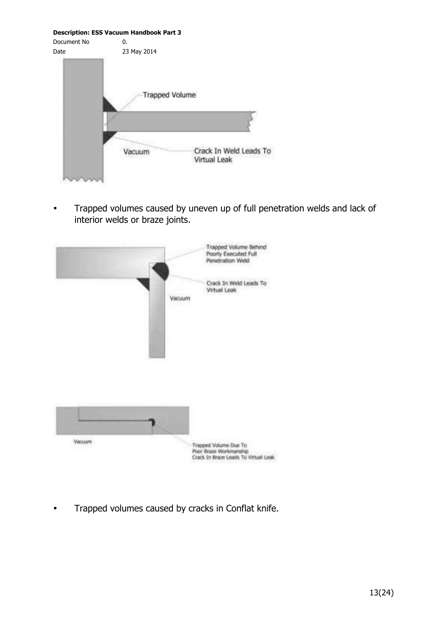**Description: ESS Vacuum Handbook Part 3** Document No  $\qquad \qquad 0.$ Date 23 May 2014 **Trapped Volume** Crack In Weld Leads To Vacuum Virtual Leak

• Trapped volumes caused by uneven up of full penetration welds and lack of interior welds or braze joints.



• Trapped volumes caused by cracks in Conflat knife.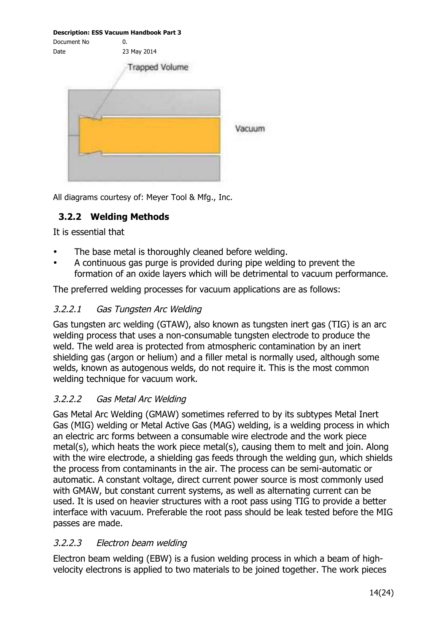|             | <b>Description: ESS Vacuum Handbook Part 3</b> |        |
|-------------|------------------------------------------------|--------|
| Document No | 0.                                             |        |
| Date        | 23 May 2014                                    |        |
|             | <b>Trapped Volume</b>                          |        |
|             |                                                |        |
|             |                                                |        |
|             |                                                | vacuun |
|             |                                                |        |
|             |                                                |        |
|             |                                                |        |

All diagrams courtesy of: Meyer Tool & Mfg., Inc.

#### **3.2.2 Welding Methods**

It is essential that

- The base metal is thoroughly cleaned before welding.
- A continuous gas purge is provided during pipe welding to prevent the formation of an oxide layers which will be detrimental to vacuum performance.

The preferred welding processes for vacuum applications are as follows:

#### 3.2.2.1 Gas Tungsten Arc Welding

Gas tungsten arc welding (GTAW), also known as tungsten inert gas (TIG) is an arc welding process that uses a non-consumable tungsten electrode to produce the weld. The weld area is protected from atmospheric contamination by an inert shielding gas (argon or helium) and a filler metal is normally used, although some welds, known as autogenous welds, do not require it. This is the most common welding technique for vacuum work.

#### 3.2.2.2 Gas Metal Arc Welding

Gas Metal Arc Welding (GMAW) sometimes referred to by its subtypes Metal Inert Gas (MIG) welding or Metal Active Gas (MAG) welding, is a welding process in which an electric arc forms between a consumable wire electrode and the work piece metal(s), which heats the work piece metal(s), causing them to melt and join. Along with the wire electrode, a shielding gas feeds through the welding gun, which shields the process from contaminants in the air. The process can be semi-automatic or automatic. A constant voltage, direct current power source is most commonly used with GMAW, but constant current systems, as well as alternating current can be used. It is used on heavier structures with a root pass using TIG to provide a better interface with vacuum. Preferable the root pass should be leak tested before the MIG passes are made.

#### 3.2.2.3 Electron beam welding

Electron beam welding (EBW) is a fusion welding process in which a beam of highvelocity electrons is applied to two materials to be joined together. The work pieces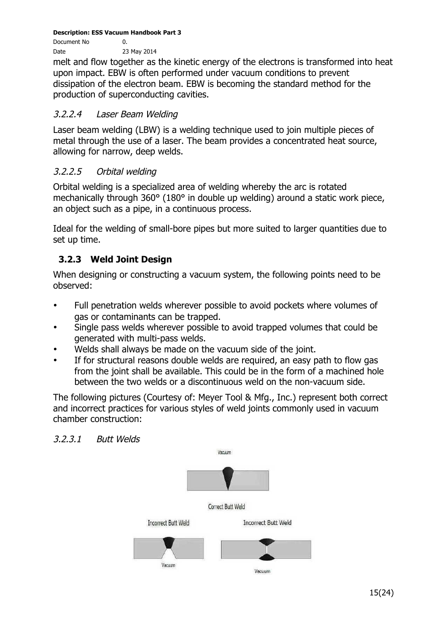Document No 0. Date 23 May 2014

melt and flow together as the kinetic energy of the electrons is transformed into heat upon impact. EBW is often performed under vacuum conditions to prevent dissipation of the electron beam. EBW is becoming the standard method for the production of superconducting cavities.

#### 3.2.2.4 Laser Beam Welding

Laser beam welding (LBW) is a welding technique used to join multiple pieces of metal through the use of a laser. The beam provides a concentrated heat source, allowing for narrow, deep welds.

#### 3.2.2.5 Orbital welding

Orbital welding is a specialized area of welding whereby the arc is rotated mechanically through 360° (180° in double up welding) around a static work piece, an object such as a pipe, in a continuous process.

Ideal for the welding of small-bore pipes but more suited to larger quantities due to set up time.

#### **3.2.3 Weld Joint Design**

When designing or constructing a vacuum system, the following points need to be observed:

- Full penetration welds wherever possible to avoid pockets where volumes of gas or contaminants can be trapped.
- Single pass welds wherever possible to avoid trapped volumes that could be generated with multi-pass welds.
- Welds shall always be made on the vacuum side of the joint.
- If for structural reasons double welds are required, an easy path to flow gas from the joint shall be available. This could be in the form of a machined hole between the two welds or a discontinuous weld on the non-vacuum side.

The following pictures (Courtesy of: Meyer Tool & Mfg., Inc.) represent both correct and incorrect practices for various styles of weld joints commonly used in vacuum chamber construction:



#### 3.2.3.1 Butt Welds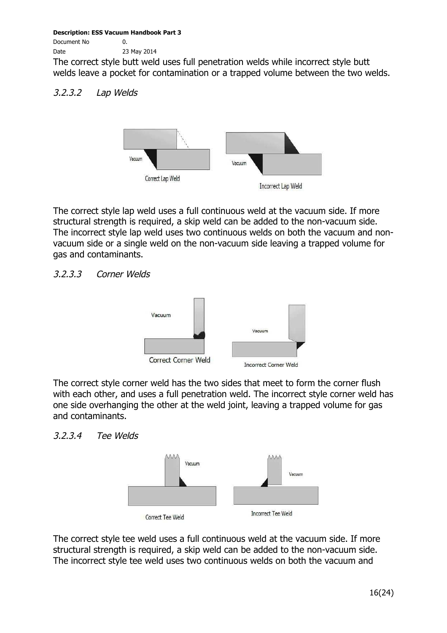Document No 0.

Date 23 May 2014

The correct style butt weld uses full penetration welds while incorrect style butt welds leave a pocket for contamination or a trapped volume between the two welds.

#### 3.2.3.2 Lap Welds



The correct style lap weld uses a full continuous weld at the vacuum side. If more structural strength is required, a skip weld can be added to the non-vacuum side. The incorrect style lap weld uses two continuous welds on both the vacuum and nonvacuum side or a single weld on the non-vacuum side leaving a trapped volume for gas and contaminants.

#### 3.2.3.3 Corner Welds



The correct style corner weld has the two sides that meet to form the corner flush with each other, and uses a full penetration weld. The incorrect style corner weld has one side overhanging the other at the weld joint, leaving a trapped volume for gas and contaminants.

#### 3.2.3.4 Tee Welds



The correct style tee weld uses a full continuous weld at the vacuum side. If more structural strength is required, a skip weld can be added to the non-vacuum side. The incorrect style tee weld uses two continuous welds on both the vacuum and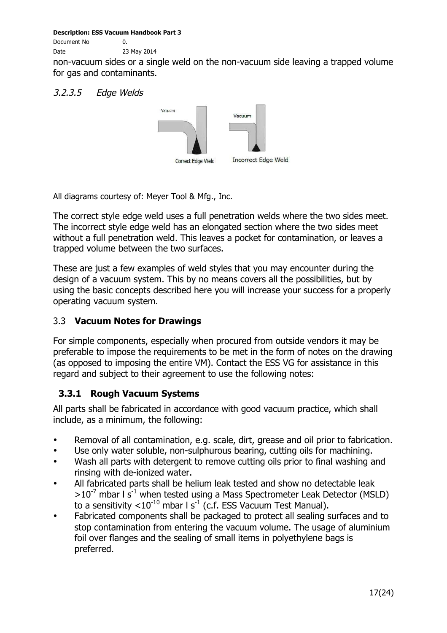Document No 0.

Date 23 May 2014

non-vacuum sides or a single weld on the non-vacuum side leaving a trapped volume for gas and contaminants.

#### 3.2.3.5 Edge Welds



All diagrams courtesy of: Meyer Tool & Mfg., Inc.

The correct style edge weld uses a full penetration welds where the two sides meet. The incorrect style edge weld has an elongated section where the two sides meet without a full penetration weld. This leaves a pocket for contamination, or leaves a trapped volume between the two surfaces.

These are just a few examples of weld styles that you may encounter during the design of a vacuum system. This by no means covers all the possibilities, but by using the basic concepts described here you will increase your success for a properly operating vacuum system.

#### 3.3 **Vacuum Notes for Drawings**

For simple components, especially when procured from outside vendors it may be preferable to impose the requirements to be met in the form of notes on the drawing (as opposed to imposing the entire VM). Contact the ESS VG for assistance in this regard and subject to their agreement to use the following notes:

#### **3.3.1 Rough Vacuum Systems**

All parts shall be fabricated in accordance with good vacuum practice, which shall include, as a minimum, the following:

- Removal of all contamination, e.g. scale, dirt, grease and oil prior to fabrication.
- Use only water soluble, non-sulphurous bearing, cutting oils for machining.
- Wash all parts with detergent to remove cutting oils prior to final washing and rinsing with de-ionized water.
- All fabricated parts shall be helium leak tested and show no detectable leak  $>10^{-7}$  mbar I s<sup>-1</sup> when tested using a Mass Spectrometer Leak Detector (MSLD) to a sensitivity  $< 10^{-10}$  mbar l s<sup>-1</sup> (c.f. ESS Vacuum Test Manual).
- Fabricated components shall be packaged to protect all sealing surfaces and to stop contamination from entering the vacuum volume. The usage of aluminium foil over flanges and the sealing of small items in polyethylene bags is preferred.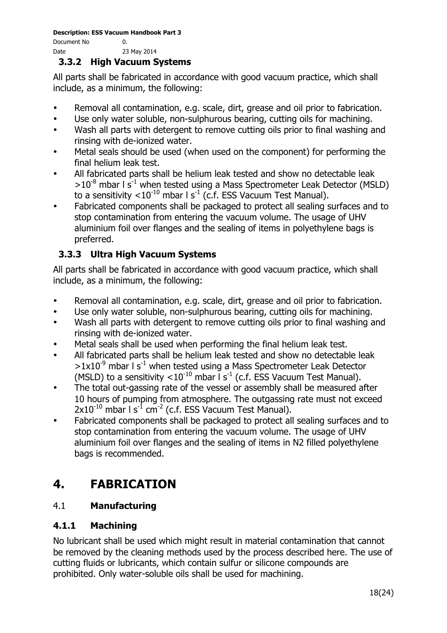Document No 0. Date 23 May 2014

#### **3.3.2 High Vacuum Systems**

All parts shall be fabricated in accordance with good vacuum practice, which shall include, as a minimum, the following:

- Removal all contamination, e.g. scale, dirt, grease and oil prior to fabrication.
- Use only water soluble, non-sulphurous bearing, cutting oils for machining.
- Wash all parts with detergent to remove cutting oils prior to final washing and rinsing with de-ionized water.
- Metal seals should be used (when used on the component) for performing the final helium leak test.
- All fabricated parts shall be helium leak tested and show no detectable leak  $>10^{-8}$  mbar I s<sup>-1</sup> when tested using a Mass Spectrometer Leak Detector (MSLD) to a sensitivity  $<$  10<sup>-10</sup> mbar l s<sup>-1</sup> (c.f. ESS Vacuum Test Manual).
- Fabricated components shall be packaged to protect all sealing surfaces and to stop contamination from entering the vacuum volume. The usage of UHV aluminium foil over flanges and the sealing of items in polyethylene bags is preferred.

### **3.3.3 Ultra High Vacuum Systems**

All parts shall be fabricated in accordance with good vacuum practice, which shall include, as a minimum, the following:

- Removal all contamination, e.g. scale, dirt, grease and oil prior to fabrication.
- Use only water soluble, non-sulphurous bearing, cutting oils for machining.
- Wash all parts with detergent to remove cutting oils prior to final washing and rinsing with de-ionized water.
- Metal seals shall be used when performing the final helium leak test.
- All fabricated parts shall be helium leak tested and show no detectable leak  $>1x10^{-9}$  mbar I s<sup>-1</sup> when tested using a Mass Spectrometer Leak Detector (MSLD) to a sensitivity  $< 10^{-10}$  mbar l s<sup>-1</sup> (c.f. ESS Vacuum Test Manual).
- The total out-gassing rate of the vessel or assembly shall be measured after 10 hours of pumping from atmosphere. The outgassing rate must not exceed  $2x10^{-10}$  mbar  $1 \text{ s}^{-1}$  cm<sup>-2</sup> (c.f. ESS Vacuum Test Manual).
- Fabricated components shall be packaged to protect all sealing surfaces and to stop contamination from entering the vacuum volume. The usage of UHV aluminium foil over flanges and the sealing of items in N2 filled polyethylene bags is recommended.

# **4. FABRICATION**

### 4.1 **Manufacturing**

#### **4.1.1 Machining**

No lubricant shall be used which might result in material contamination that cannot be removed by the cleaning methods used by the process described here. The use of cutting fluids or lubricants, which contain sulfur or silicone compounds are prohibited. Only water-soluble oils shall be used for machining.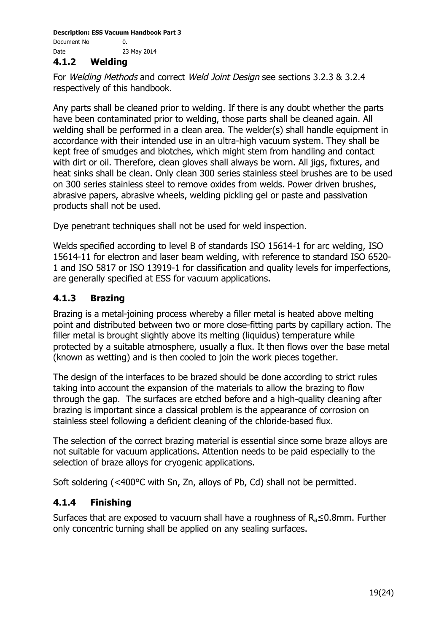#### **4.1.2 Welding**

For Welding Methods and correct Weld Joint Design see sections 3.2.3 & 3.2.4 respectively of this handbook.

Any parts shall be cleaned prior to welding. If there is any doubt whether the parts have been contaminated prior to welding, those parts shall be cleaned again. All welding shall be performed in a clean area. The welder(s) shall handle equipment in accordance with their intended use in an ultra-high vacuum system. They shall be kept free of smudges and blotches, which might stem from handling and contact with dirt or oil. Therefore, clean gloves shall always be worn. All jigs, fixtures, and heat sinks shall be clean. Only clean 300 series stainless steel brushes are to be used on 300 series stainless steel to remove oxides from welds. Power driven brushes, abrasive papers, abrasive wheels, welding pickling gel or paste and passivation products shall not be used.

Dye penetrant techniques shall not be used for weld inspection.

Welds specified according to level B of standards ISO 15614-1 for arc welding, ISO 15614-11 for electron and laser beam welding, with reference to standard ISO 6520- 1 and ISO 5817 or ISO 13919-1 for classification and quality levels for imperfections, are generally specified at ESS for vacuum applications.

#### **4.1.3 Brazing**

Brazing is a metal-joining process whereby a filler metal is heated above melting point and distributed between two or more close-fitting parts by capillary action. The filler metal is brought slightly above its melting (liquidus) temperature while protected by a suitable atmosphere, usually a flux. It then flows over the base metal (known as wetting) and is then cooled to join the work pieces together.

The design of the interfaces to be brazed should be done according to strict rules taking into account the expansion of the materials to allow the brazing to flow through the gap. The surfaces are etched before and a high-quality cleaning after brazing is important since a classical problem is the appearance of corrosion on stainless steel following a deficient cleaning of the chloride-based flux.

The selection of the correct brazing material is essential since some braze alloys are not suitable for vacuum applications. Attention needs to be paid especially to the selection of braze alloys for cryogenic applications.

Soft soldering (<400°C with Sn, Zn, alloys of Pb, Cd) shall not be permitted.

#### **4.1.4 Finishing**

Surfaces that are exposed to vacuum shall have a roughness of  $R_a \leq 0.8$ mm. Further only concentric turning shall be applied on any sealing surfaces.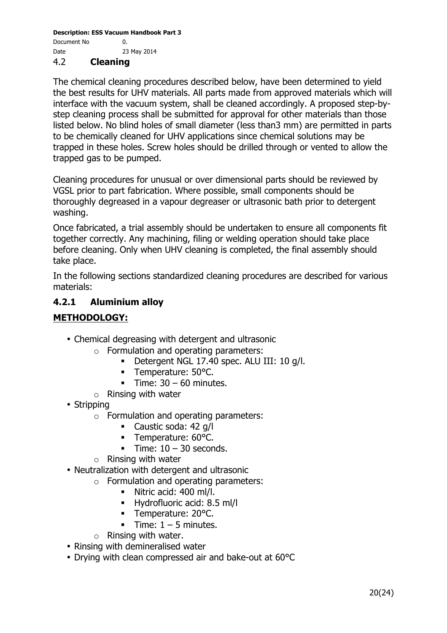#### 4.2 **Cleaning**

The chemical cleaning procedures described below, have been determined to yield the best results for UHV materials. All parts made from approved materials which will interface with the vacuum system, shall be cleaned accordingly. A proposed step-bystep cleaning process shall be submitted for approval for other materials than those listed below. No blind holes of small diameter (less than3 mm) are permitted in parts to be chemically cleaned for UHV applications since chemical solutions may be trapped in these holes. Screw holes should be drilled through or vented to allow the trapped gas to be pumped.

Cleaning procedures for unusual or over dimensional parts should be reviewed by VGSL prior to part fabrication. Where possible, small components should be thoroughly degreased in a vapour degreaser or ultrasonic bath prior to detergent washing.

Once fabricated, a trial assembly should be undertaken to ensure all components fit together correctly. Any machining, filing or welding operation should take place before cleaning. Only when UHV cleaning is completed, the final assembly should take place.

In the following sections standardized cleaning procedures are described for various materials:

#### **4.2.1 Aluminium alloy**

#### **METHODOLOGY:**

- Chemical degreasing with detergent and ultrasonic
	- o Formulation and operating parameters:
		- § Detergent NGL 17.40 spec. ALU III: 10 g/l.
		- Temperature: 50°C.
		- **Fime:**  $30 60$  **minutes.**
	- $\circ$  Rinsing with water
- Stripping
	- $\circ$  Formulation and operating parameters:
		- Caustic soda: 42 g/l
		- Temperature: 60°C.
		- **Time:**  $10 30$  **seconds.**
	- o Rinsing with water
- Neutralization with detergent and ultrasonic
	- o Formulation and operating parameters:
		- § Nitric acid: 400 ml/l.
		- § Hydrofluoric acid: 8.5 ml/l
		- Temperature: 20°C.
		- Time:  $1 5$  minutes.
	- $\circ$  Rinsing with water.
- Rinsing with demineralised water
- Drying with clean compressed air and bake-out at 60°C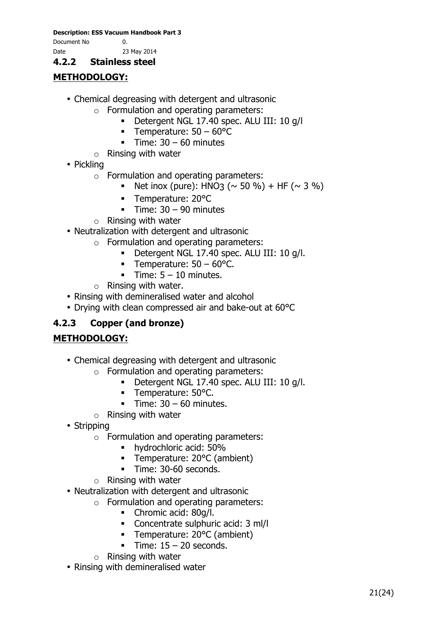Document No 0.

Date 23 May 2014

#### **4.2.2 Stainless steel**

### **METHODOLOGY:**

- Chemical degreasing with detergent and ultrasonic
	- o Formulation and operating parameters:
		- § Detergent NGL 17.40 spec. ALU III: 10 g/l
		- **•** Temperature:  $50 60^{\circ}$ C
		- Time:  $30 60$  minutes
	- $\circ$  Rinsing with water
- Pickling
	- o Formulation and operating parameters:
		- Net inox (pure): HNO3 ( $\sim$  50 %) + HF ( $\sim$  3 %)
		- § Temperature: 20°C
		- § Time: 30 90 minutes
	- $\circ$  Rinsing with water
- Neutralization with detergent and ultrasonic
	- o Formulation and operating parameters:
		- § Detergent NGL 17.40 spec. ALU III: 10 g/l.
		- § Temperature: 50 60°C.
		- **•** Time:  $5 10$  minutes.
	- $\circ$  Rinsing with water.
- Rinsing with demineralised water and alcohol
- Drying with clean compressed air and bake-out at 60°C

#### **4.2.3 Copper (and bronze)**

#### **METHODOLOGY:**

- Chemical degreasing with detergent and ultrasonic
	- o Formulation and operating parameters:
		- § Detergent NGL 17.40 spec. ALU III: 10 g/l.
		- § Temperature: 50°C.
		- **•** Time:  $30 60$  minutes.
	- $\circ$  Rinsing with water
- Stripping
	- $\circ$  Formulation and operating parameters:
		- § hydrochloric acid: 50%
		- § Temperature: 20°C (ambient)
		- § Time: 30-60 seconds.
	- o Rinsing with water
- Neutralization with detergent and ultrasonic
	- o Formulation and operating parameters:
		- Chromic acid: 80g/l.
		- Concentrate sulphuric acid: 3 ml/l
		- § Temperature: 20°C (ambient)
		- **Fime:**  $15 20$  **seconds.**
	- o Rinsing with water
- Rinsing with demineralised water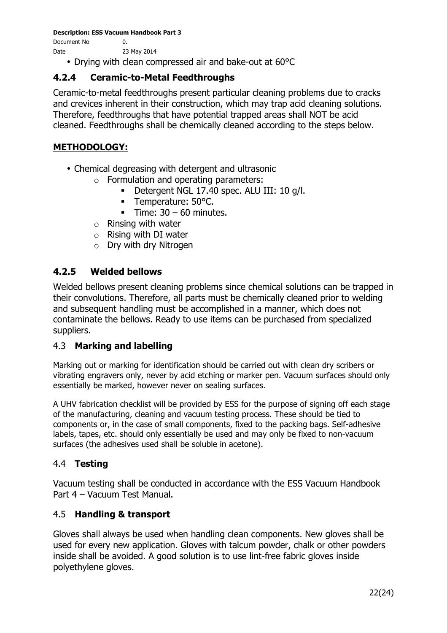Document No 0. Date 23 May 2014

• Drying with clean compressed air and bake-out at 60°C

#### **4.2.4 Ceramic-to-Metal Feedthroughs**

Ceramic-to-metal feedthroughs present particular cleaning problems due to cracks and crevices inherent in their construction, which may trap acid cleaning solutions. Therefore, feedthroughs that have potential trapped areas shall NOT be acid cleaned. Feedthroughs shall be chemically cleaned according to the steps below.

#### **METHODOLOGY:**

- Chemical degreasing with detergent and ultrasonic
	- $\circ$  Formulation and operating parameters:
		- § Detergent NGL 17.40 spec. ALU III: 10 g/l.
		- Temperature: 50°C.
		- **•** Time:  $30 60$  minutes.
	- o Rinsing with water
	- o Rising with DI water
	- o Dry with dry Nitrogen

#### **4.2.5 Welded bellows**

Welded bellows present cleaning problems since chemical solutions can be trapped in their convolutions. Therefore, all parts must be chemically cleaned prior to welding and subsequent handling must be accomplished in a manner, which does not contaminate the bellows. Ready to use items can be purchased from specialized suppliers.

#### 4.3 **Marking and labelling**

Marking out or marking for identification should be carried out with clean dry scribers or vibrating engravers only, never by acid etching or marker pen. Vacuum surfaces should only essentially be marked, however never on sealing surfaces.

A UHV fabrication checklist will be provided by ESS for the purpose of signing off each stage of the manufacturing, cleaning and vacuum testing process. These should be tied to components or, in the case of small components, fixed to the packing bags. Self-adhesive labels, tapes, etc. should only essentially be used and may only be fixed to non-vacuum surfaces (the adhesives used shall be soluble in acetone).

#### 4.4 **Testing**

Vacuum testing shall be conducted in accordance with the ESS Vacuum Handbook Part 4 – Vacuum Test Manual.

#### 4.5 **Handling & transport**

Gloves shall always be used when handling clean components. New gloves shall be used for every new application. Gloves with talcum powder, chalk or other powders inside shall be avoided. A good solution is to use lint-free fabric gloves inside polyethylene gloves.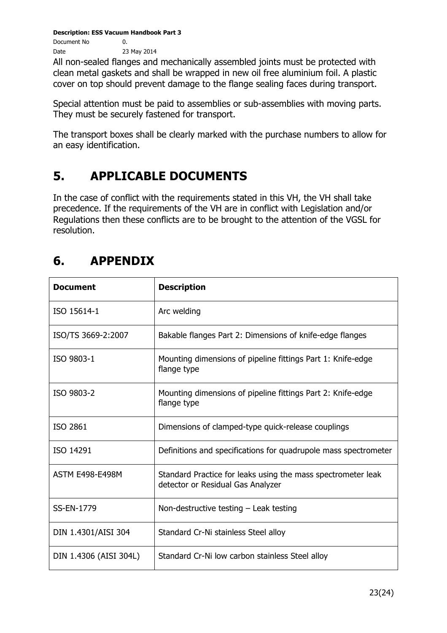Document No 0. Date 23 May 2014

All non-sealed flanges and mechanically assembled joints must be protected with clean metal gaskets and shall be wrapped in new oil free aluminium foil. A plastic cover on top should prevent damage to the flange sealing faces during transport.

Special attention must be paid to assemblies or sub-assemblies with moving parts. They must be securely fastened for transport.

The transport boxes shall be clearly marked with the purchase numbers to allow for an easy identification.

# **5. APPLICABLE DOCUMENTS**

In the case of conflict with the requirements stated in this VH, the VH shall take precedence. If the requirements of the VH are in conflict with Legislation and/or Regulations then these conflicts are to be brought to the attention of the VGSL for resolution.

## **6. APPENDIX**

| <b>Document</b>        | <b>Description</b>                                                                                |
|------------------------|---------------------------------------------------------------------------------------------------|
| ISO 15614-1            | Arc welding                                                                                       |
| ISO/TS 3669-2:2007     | Bakable flanges Part 2: Dimensions of knife-edge flanges                                          |
| ISO 9803-1             | Mounting dimensions of pipeline fittings Part 1: Knife-edge<br>flange type                        |
| ISO 9803-2             | Mounting dimensions of pipeline fittings Part 2: Knife-edge<br>flange type                        |
| ISO 2861               | Dimensions of clamped-type quick-release couplings                                                |
| ISO 14291              | Definitions and specifications for quadrupole mass spectrometer                                   |
| <b>ASTM E498-E498M</b> | Standard Practice for leaks using the mass spectrometer leak<br>detector or Residual Gas Analyzer |
| SS-EN-1779             | Non-destructive testing $-$ Leak testing                                                          |
| DIN 1.4301/AISI 304    | Standard Cr-Ni stainless Steel alloy                                                              |
| DIN 1.4306 (AISI 304L) | Standard Cr-Ni low carbon stainless Steel alloy                                                   |